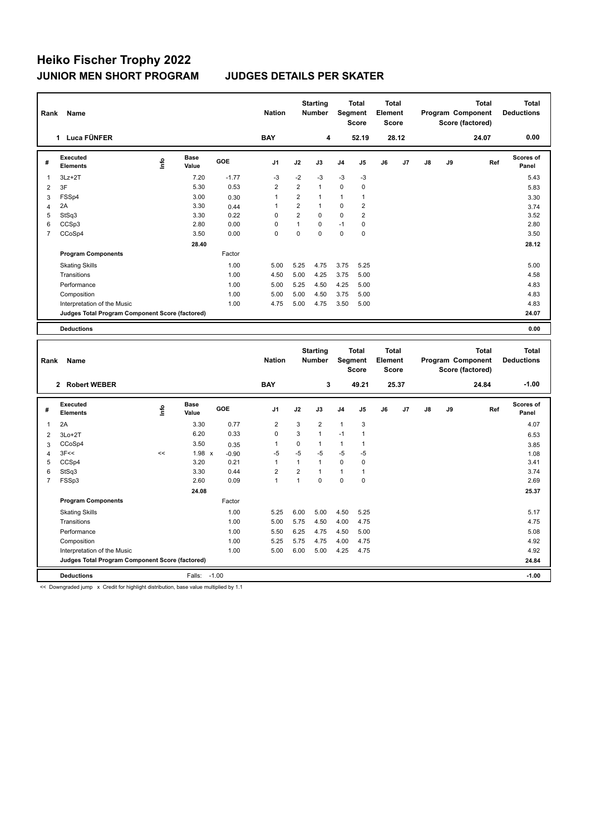## **Heiko Fischer Trophy 2022 JUNIOR MEN SHORT PROGRAM JUDGES DETAILS PER SKATER**

| Rank           | Name                                            |      |                      |            | <b>Nation</b>  |                | <b>Starting</b><br><b>Number</b> | <b>Total</b><br>Segment<br><b>Score</b> |                | Total<br>Element<br><b>Score</b> |                |    |    | Total<br>Program Component<br>Score (factored) | Total<br><b>Deductions</b> |
|----------------|-------------------------------------------------|------|----------------------|------------|----------------|----------------|----------------------------------|-----------------------------------------|----------------|----------------------------------|----------------|----|----|------------------------------------------------|----------------------------|
|                | 1 Luca FÜNFER                                   |      |                      |            | <b>BAY</b>     |                | 4                                |                                         | 52.19          |                                  | 28.12          |    |    | 24.07                                          | 0.00                       |
| #              | Executed<br><b>Elements</b>                     | ١nfo | <b>Base</b><br>Value | <b>GOE</b> | J <sub>1</sub> | J2             | J3                               | J <sub>4</sub>                          | J <sub>5</sub> | J6                               | J <sub>7</sub> | J8 | J9 | Ref                                            | Scores of<br>Panel         |
| 1              | $3Lz + 2T$                                      |      | 7.20                 | $-1.77$    | $-3$           | $-2$           | $-3$                             | $-3$                                    | $-3$           |                                  |                |    |    |                                                | 5.43                       |
| 2              | 3F                                              |      | 5.30                 | 0.53       | $\overline{2}$ | $\overline{2}$ | $\mathbf{1}$                     | $\Omega$                                | $\mathbf 0$    |                                  |                |    |    |                                                | 5.83                       |
| 3              | FSSp4                                           |      | 3.00                 | 0.30       | 1              | $\overline{2}$ | $\mathbf 1$                      | $\mathbf{1}$                            | 1              |                                  |                |    |    |                                                | 3.30                       |
| 4              | 2A                                              |      | 3.30                 | 0.44       | 1              | $\overline{2}$ | $\mathbf{1}$                     | $\Omega$                                | $\overline{2}$ |                                  |                |    |    |                                                | 3.74                       |
| 5              | StSq3                                           |      | 3.30                 | 0.22       | 0              | $\overline{2}$ | $\mathbf 0$                      | $\mathbf 0$                             | $\overline{2}$ |                                  |                |    |    |                                                | 3.52                       |
| 6              | CCSp3                                           |      | 2.80                 | 0.00       | 0              | 1              | 0                                | $-1$                                    | 0              |                                  |                |    |    |                                                | 2.80                       |
| $\overline{7}$ | CCoSp4                                          |      | 3.50                 | 0.00       | 0              | $\mathbf 0$    | $\mathbf 0$                      | $\mathbf 0$                             | 0              |                                  |                |    |    |                                                | 3.50                       |
|                |                                                 |      | 28.40                |            |                |                |                                  |                                         |                |                                  |                |    |    |                                                | 28.12                      |
|                | <b>Program Components</b>                       |      |                      | Factor     |                |                |                                  |                                         |                |                                  |                |    |    |                                                |                            |
|                | <b>Skating Skills</b>                           |      |                      | 1.00       | 5.00           | 5.25           | 4.75                             | 3.75                                    | 5.25           |                                  |                |    |    |                                                | 5.00                       |
|                | Transitions                                     |      |                      | 1.00       | 4.50           | 5.00           | 4.25                             | 3.75                                    | 5.00           |                                  |                |    |    |                                                | 4.58                       |
|                | Performance                                     |      |                      | 1.00       | 5.00           | 5.25           | 4.50                             | 4.25                                    | 5.00           |                                  |                |    |    |                                                | 4.83                       |
|                | Composition                                     |      |                      | 1.00       | 5.00           | 5.00           | 4.50                             | 3.75                                    | 5.00           |                                  |                |    |    |                                                | 4.83                       |
|                | Interpretation of the Music                     |      |                      | 1.00       | 4.75           | 5.00           | 4.75                             | 3.50                                    | 5.00           |                                  |                |    |    |                                                | 4.83                       |
|                | Judges Total Program Component Score (factored) |      |                      |            |                |                |                                  |                                         |                |                                  |                |    |    |                                                | 24.07                      |
|                | <b>Deductions</b>                               |      |                      |            |                |                |                                  |                                         |                |                                  |                |    |    |                                                | 0.00                       |

| Rank<br>Name   |                                                 |      |                      |         | <b>Nation</b>  |                | <b>Starting</b><br><b>Number</b><br>Segment |                | <b>Total</b><br><b>Score</b> | <b>Total</b><br><b>Element</b><br><b>Score</b> |       | Program Component<br>Score (factored) |    | <b>Total</b> | Total<br><b>Deductions</b> |
|----------------|-------------------------------------------------|------|----------------------|---------|----------------|----------------|---------------------------------------------|----------------|------------------------------|------------------------------------------------|-------|---------------------------------------|----|--------------|----------------------------|
|                | 2 Robert WEBER                                  |      |                      |         | <b>BAY</b>     |                | 3                                           |                | 49.21                        |                                                | 25.37 |                                       |    | 24.84        | $-1.00$                    |
| #              | Executed<br><b>Elements</b>                     | ١nf٥ | <b>Base</b><br>Value | GOE     | J <sub>1</sub> | J2             | J3                                          | J <sub>4</sub> | J5                           | J6                                             | J7    | J8                                    | J9 | Ref          | Scores of<br>Panel         |
| 1              | 2A                                              |      | 3.30                 | 0.77    | $\overline{2}$ | 3              | $\overline{2}$                              | $\mathbf{1}$   | 3                            |                                                |       |                                       |    |              | 4.07                       |
| 2              | $3Lo+2T$                                        |      | 6.20                 | 0.33    | $\Omega$       | 3              | $\mathbf{1}$                                | $-1$           | 1                            |                                                |       |                                       |    |              | 6.53                       |
| 3              | CCoSp4                                          |      | 3.50                 | 0.35    | 1              | 0              | $\mathbf{1}$                                | 1              | 1                            |                                                |       |                                       |    |              | 3.85                       |
| 4              | 3F<<                                            | <<   | $1.98 \times$        | $-0.90$ | $-5$           | $-5$           | $-5$                                        | $-5$           | $-5$                         |                                                |       |                                       |    |              | 1.08                       |
| 5              | CCSp4                                           |      | 3.20                 | 0.21    | 1              | $\mathbf{1}$   | 1                                           | $\Omega$       | $\mathbf 0$                  |                                                |       |                                       |    |              | 3.41                       |
| 6              | StSq3                                           |      | 3.30                 | 0.44    | $\overline{2}$ | $\overline{2}$ |                                             | 1              | 1                            |                                                |       |                                       |    |              | 3.74                       |
| $\overline{7}$ | FSSp3                                           |      | 2.60                 | 0.09    | 1              | 1              | $\Omega$                                    | $\Omega$       | $\Omega$                     |                                                |       |                                       |    |              | 2.69                       |
|                |                                                 |      | 24.08                |         |                |                |                                             |                |                              |                                                |       |                                       |    |              | 25.37                      |
|                | <b>Program Components</b>                       |      |                      | Factor  |                |                |                                             |                |                              |                                                |       |                                       |    |              |                            |
|                | <b>Skating Skills</b>                           |      |                      | 1.00    | 5.25           | 6.00           | 5.00                                        | 4.50           | 5.25                         |                                                |       |                                       |    |              | 5.17                       |
|                | Transitions                                     |      |                      | 1.00    | 5.00           | 5.75           | 4.50                                        | 4.00           | 4.75                         |                                                |       |                                       |    |              | 4.75                       |
|                | Performance                                     |      |                      | 1.00    | 5.50           | 6.25           | 4.75                                        | 4.50           | 5.00                         |                                                |       |                                       |    |              | 5.08                       |
|                | Composition                                     |      |                      | 1.00    | 5.25           | 5.75           | 4.75                                        | 4.00           | 4.75                         |                                                |       |                                       |    |              | 4.92                       |
|                | Interpretation of the Music                     |      |                      | 1.00    | 5.00           | 6.00           | 5.00                                        | 4.25           | 4.75                         |                                                |       |                                       |    |              | 4.92                       |
|                | Judges Total Program Component Score (factored) |      |                      |         |                |                |                                             |                |                              |                                                |       |                                       |    |              | 24.84                      |
|                | <b>Deductions</b>                               |      | Falls:               | $-1.00$ |                |                |                                             |                |                              |                                                |       |                                       |    |              | $-1.00$                    |

<< Downgraded jump x Credit for highlight distribution, base value multiplied by 1.1